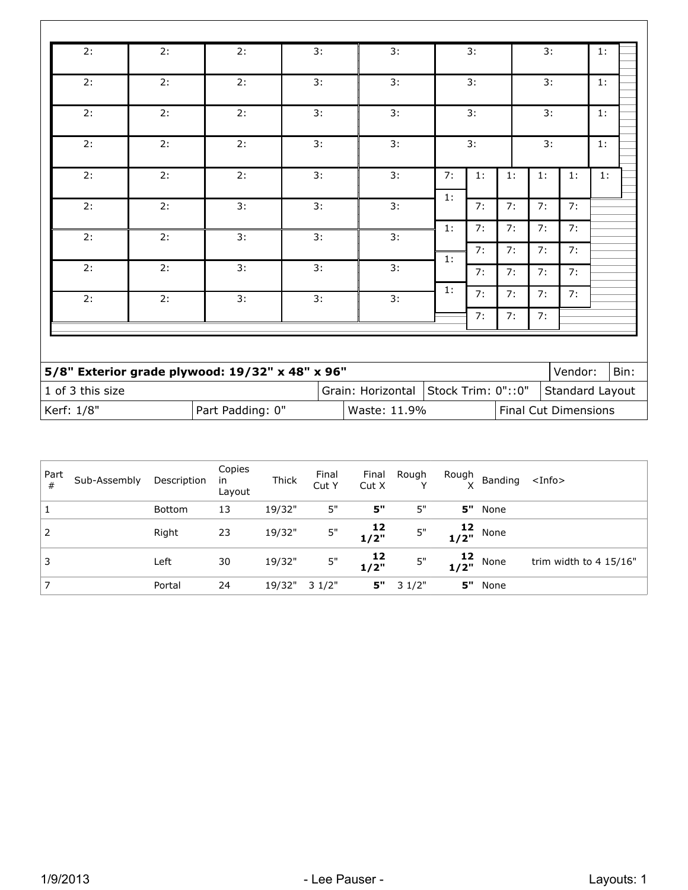| 2:               | 2: | 2:                                              | 3: | 3:                |                                                                      | 3: |    | 3: |                 |    |  |
|------------------|----|-------------------------------------------------|----|-------------------|----------------------------------------------------------------------|----|----|----|-----------------|----|--|
| 2:               | 2: | 2:                                              | 3: | 3:                |                                                                      | 3: |    |    | 3:              |    |  |
| 2:               | 2: | 2:                                              | 3: | 3:                |                                                                      | 3: |    |    | 3:              |    |  |
| 2:               | 2: | 2:                                              | 3: | 3:                |                                                                      | 3: |    | 3: |                 |    |  |
| 2:               | 2: | 2:                                              | 3: | 3:                | 7:                                                                   | 1: | 1: | 1: | 1:              | 1: |  |
| 2:               | 2: | 3:                                              | 3: | 3:                | 1:                                                                   | 7: | 7: | 7: | 7:              |    |  |
| 2:               | 2: | 3:                                              | 3: | 3:                | 1:                                                                   | 7: | 7: | 7: | 7:              |    |  |
|                  |    |                                                 |    |                   | 1:                                                                   | 7: | 7: | 7: | 7:              |    |  |
| 2:               | 2: | 3:                                              | 3: | 3:                |                                                                      | 7: | 7: | 7: | 7:              |    |  |
| 2:               | 2: | 3:                                              | 3: | 3:                | 1:                                                                   | 7: | 7: | 7: | 7:              |    |  |
|                  |    |                                                 |    |                   |                                                                      | 7: | 7: | 7: |                 |    |  |
|                  |    |                                                 |    |                   |                                                                      |    |    |    |                 |    |  |
|                  |    | 5/8" Exterior grade plywood: 19/32" x 48" x 96" |    |                   |                                                                      |    |    |    | Vendor:<br>Bin: |    |  |
| 1 of 3 this size |    |                                                 |    | Grain: Horizontal | Stock Trim: 0"::0"<br>Standard Layout<br><b>Final Cut Dimensions</b> |    |    |    |                 |    |  |
| Kerf: 1/8"       |    | Part Padding: 0"                                |    | Waste: 11.9%      |                                                                      |    |    |    |                 |    |  |

| Part<br># | Sub-Assembly | Description   | Copies<br>in<br>Layout | <b>Thick</b> | Final<br>Cut Y | Final<br>CutX                            | Rough | Rough                                     | Banding <info></info> |                        |
|-----------|--------------|---------------|------------------------|--------------|----------------|------------------------------------------|-------|-------------------------------------------|-----------------------|------------------------|
|           |              | <b>Bottom</b> | 13                     | 19/32"       | 5"             | 5"                                       | 5"    | 5"                                        | None                  |                        |
|           |              | Right         | 23                     | 19/32"       | 5"             | 12<br>"1/2                               | 5"    | $\begin{array}{c} 12 \\ 1/2" \end{array}$ | None                  |                        |
|           |              | Left          | 30                     | 19/32"       | $5"$           | $\begin{array}{c} 12 \\ 1/2 \end{array}$ | 5"    | $\frac{12}{1/2}$ ,                        | None                  | trim width to 4 15/16" |
|           |              | Portal        | 24                     | 19/32"       | 3 1/2"         | 5"                                       | 31/2" | 5"                                        | None                  |                        |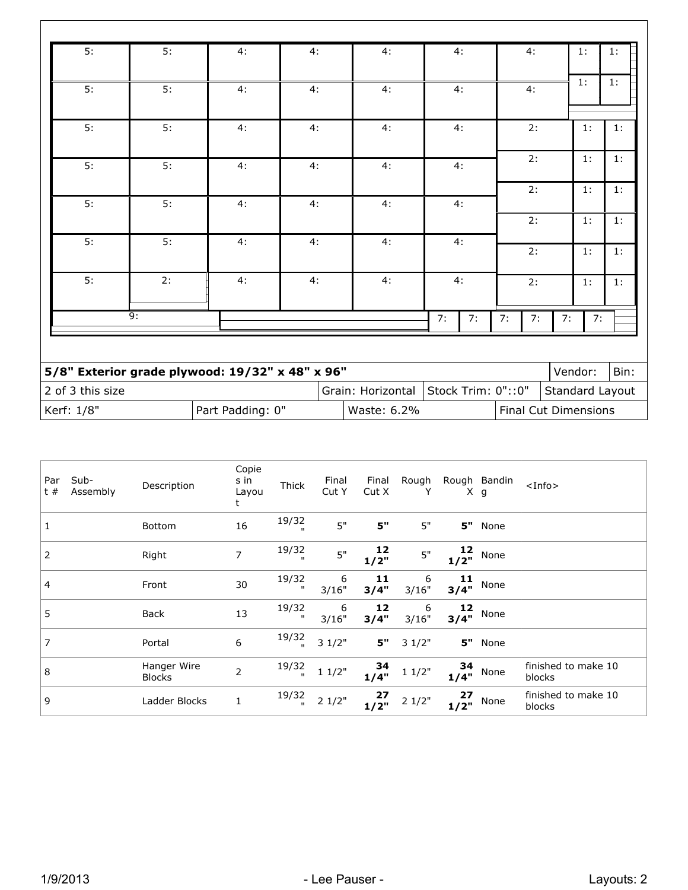| 5:               | 5:               | 4:                                              | 4: | 4:                                         |    | 4:                                    |    | 4:             |    | 1:      | 1:   |
|------------------|------------------|-------------------------------------------------|----|--------------------------------------------|----|---------------------------------------|----|----------------|----|---------|------|
| 5:               | 5:               | 4:                                              | 4: | 4:                                         |    | 4:                                    |    | 4:             |    | 1:      | 1:   |
| 5:               | 5:               | 4:                                              | 4: | 4:                                         |    | 4:                                    |    | 2:             |    | 1:      | 1:   |
| 5:               | 5:               | 4:                                              | 4: | 4:                                         | 4: |                                       |    | 2:             |    | 1:      | 1:   |
| 5:               | 5:               | 4:                                              | 4: | 4:                                         |    | 4:<br>4:<br>4:                        |    | 2:             |    | 1:      | 1:   |
|                  |                  |                                                 |    |                                            |    |                                       |    | 2:<br>2:<br>2: |    | 1:      | 1:   |
| 5:               | 5:               | 4:                                              | 4: | 4:                                         |    |                                       |    |                |    | 1:      | 1:   |
| 5:               | 2:               | 4:                                              | 4: | 4:                                         |    |                                       |    |                |    | 1:      | 1:   |
|                  | $\overline{9}$ : |                                                 |    |                                            | 7: | 7:                                    | 7: | 7:             | 7: | 7:      |      |
|                  |                  |                                                 |    |                                            |    |                                       |    |                |    |         |      |
|                  |                  | 5/8" Exterior grade plywood: 19/32" x 48" x 96" |    |                                            |    |                                       |    |                |    | Vendor: | Bin: |
| 2 of 3 this size |                  |                                                 |    | Grain: Horizontal                          |    | Stock Trim: 0"::0"<br>Standard Layout |    |                |    |         |      |
| Kerf: 1/8"       |                  | Part Padding: 0"                                |    | Waste: 6.2%<br><b>Final Cut Dimensions</b> |    |                                       |    |                |    |         |      |

| Sub-<br>Par<br>$t$ #<br>Assembly | Description                  | Copie<br>s in<br>Layou<br>t | <b>Thick</b>          | Final<br>Cut Y | Final<br>Cut X                           | Rough<br>Υ | X          | Rough Bandin<br>g       | $<$ Info $>$                  |
|----------------------------------|------------------------------|-----------------------------|-----------------------|----------------|------------------------------------------|------------|------------|-------------------------|-------------------------------|
| 1                                | <b>Bottom</b>                | 16                          | 19/32                 | 5"             | 5"                                       | 5"         | 5"         | None                    |                               |
| $\overline{2}$                   | Right                        | $\overline{7}$              | 19/32<br>$\mathbf{u}$ | 5"             | 12<br>1/2"                               | 5"         | 12         | $1/2$ <sup>"</sup> None |                               |
| 4                                | Front                        | 30                          | 19/32<br>$\mathbf{u}$ | 6<br>3/16"     | 11<br>3/4"                               | 6<br>3/16" | 11<br>3/4" | None                    |                               |
| 5                                | <b>Back</b>                  | 13                          | 19/32<br>ш            | 6<br>3/16"     | 12<br>3/4"                               | 6<br>3/16" | 12         | $3/4$ <sup>"</sup> None |                               |
| 7                                | Portal                       | 6                           | 19/32                 | 31/2"          | $\mathbf{5}^{\mathrm{u}}$                | 31/2"      | 5"         | None                    |                               |
| 8                                | Hanger Wire<br><b>Blocks</b> | $\overline{2}$              | 19/32                 | 11/2"          | 34<br>1/4"                               | 11/2"      | 34         | $1/4$ <sup>"</sup> None | finished to make 10<br>blocks |
| 9                                | Ladder Blocks                |                             | 19/32                 | 21/2"          | $\begin{array}{c} 27 \\ 1/2 \end{array}$ | 21/2"      | 27<br>1/2" | None                    | finished to make 10<br>blocks |